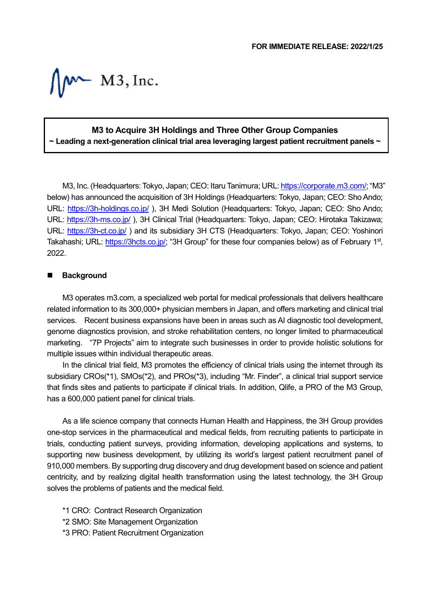$M^*$  M3, Inc.

## **M3 to Acquire 3H Holdings and Three Other Group Companies ~ Leading a next-generation clinical trial area leveraging largest patient recruitment panels ~**

M3, Inc. (Headquarters: Tokyo, Japan; CEO: Itaru Tanimura; URL[: https://corporate.m3.com/;](https://corporate.m3.com/) "M3" below) has announced the acquisition of 3H Holdings (Headquarters: Tokyo, Japan; CEO: Sho Ando; URL:<https://3h-holdings.co.jp/> ), 3H Medi Solution (Headquarters: Tokyo, Japan; CEO: Sho Ando; URL:<https://3h-ms.co.jp/> ), 3H Clinical Trial (Headquarters: Tokyo, Japan; CEO: Hirotaka Takizawa; URL:<https://3h-ct.co.jp/> ) and its subsidiary 3H CTS (Headquarters: Tokyo, Japan; CEO: Yoshinori Takahashi; URL: [https://3hcts.co.jp/;](https://3hcts.co.jp/) "3H Group" for these four companies below) as of February 1<sup>st</sup>, 2022.

## **Background**

M3 operates m3.com, a specialized web portal for medical professionals that delivers healthcare related information to its 300,000+ physician members in Japan, and offers marketing and clinical trial services. Recent business expansions have been in areas such as AI diagnostic tool development, genome diagnostics provision, and stroke rehabilitation centers, no longer limited to pharmaceutical marketing. "7P Projects" aim to integrate such businesses in order to provide holistic solutions for multiple issues within individual therapeutic areas.

In the clinical trial field, M3 promotes the efficiency of clinical trials using the internet through its subsidiary CROs(\*1), SMOs(\*2), and PROs(\*3), including "Mr. Finder", a clinical trial support service that finds sites and patients to participate if clinical trials. In addition, Qlife, a PRO of the M3 Group, has a 600,000 patient panel for clinical trials.

As a life science company that connects Human Health and Happiness, the 3H Group provides one-stop services in the pharmaceutical and medical fields, from recruiting patients to participate in trials, conducting patient surveys, providing information, developing applications and systems, to supporting new business development, by utilizing its world's largest patient recruitment panel of 910,000 members. By supporting drug discovery and drug development based on science and patient centricity, and by realizing digital health transformation using the latest technology, the 3H Group solves the problems of patients and the medical field.

- \*1 CRO: Contract Research Organization
- \*2 SMO: Site Management Organization
- \*3 PRO: Patient Recruitment Organization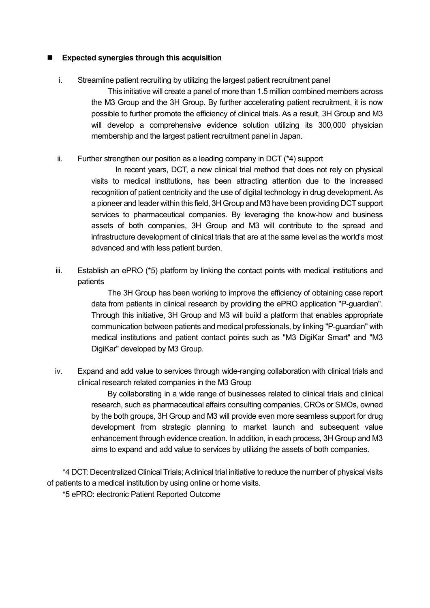## **Expected synergies through this acquisition**

i. Streamline patient recruiting by utilizing the largest patient recruitment panel

This initiative will create a panel of more than 1.5 million combined members across the M3 Group and the 3H Group. By further accelerating patient recruitment, it is now possible to further promote the efficiency of clinical trials. As a result, 3H Group and M3 will develop a comprehensive evidence solution utilizing its 300,000 physician membership and the largest patient recruitment panel in Japan.

ii. Further strengthen our position as a leading company in DCT  $(4)$  support

In recent years, DCT, a new clinical trial method that does not rely on physical visits to medical institutions, has been attracting attention due to the increased recognition of patient centricity and the use of digital technology in drug development. As a pioneer and leader within this field, 3H Group and M3 have been providing DCT support services to pharmaceutical companies. By leveraging the know-how and business assets of both companies, 3H Group and M3 will contribute to the spread and infrastructure development of clinical trials that are at the same level as the world's most advanced and with less patient burden.

iii. Establish an ePRO (\*5) platform by linking the contact points with medical institutions and patients

> The 3H Group has been working to improve the efficiency of obtaining case report data from patients in clinical research by providing the ePRO application "P-guardian". Through this initiative, 3H Group and M3 will build a platform that enables appropriate communication between patients and medical professionals, by linking "P-guardian" with medical institutions and patient contact points such as "M3 DigiKar Smart" and "M3 DigiKar" developed by M3 Group.

iv. Expand and add value to services through wide-ranging collaboration with clinical trials and clinical research related companies in the M3 Group

> By collaborating in a wide range of businesses related to clinical trials and clinical research, such as pharmaceutical affairs consulting companies, CROs or SMOs, owned by the both groups, 3H Group and M3 will provide even more seamless support for drug development from strategic planning to market launch and subsequent value enhancement through evidence creation. In addition, in each process, 3H Group and M3 aims to expand and add value to services by utilizing the assets of both companies.

\*4 DCT: Decentralized Clinical Trials; A clinical trial initiative to reduce the number of physical visits of patients to a medical institution by using online or home visits.

\*5 ePRO: electronic Patient Reported Outcome